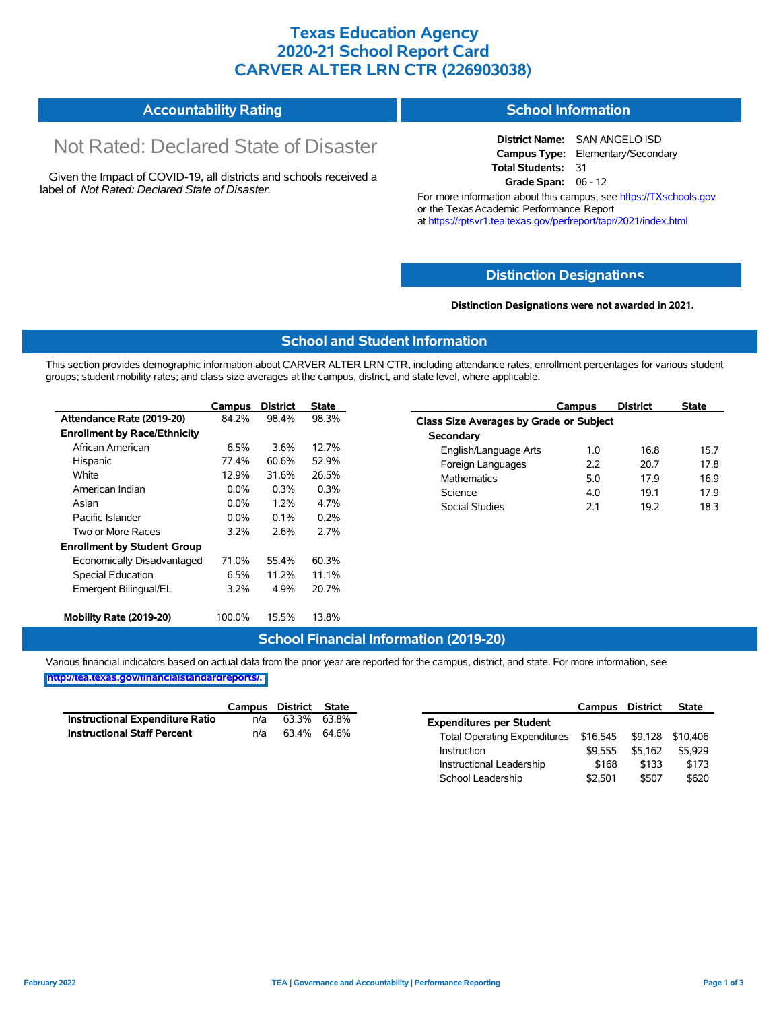### **Texas Education Agency 2020-21 School Report Card CARVER ALTER LRN CTR (226903038)**

#### **Accountability Rating School Information**

# Not Rated: Declared State of Disaster

Given the Impact of COVID-19, all districts and schools received a label of *Not Rated: Declared State of Disaster.*

**District Name:** SAN ANGELO ISD **Campus Type:** Elementary/Secondary **Total Students:** 31 **Grade Span:** 06 - 12

For more information about this campus, see https://TXschools.gov or the Texas Academic Performance Report at https://rptsvr1.tea.texas.gov/perfreport/tapr/2021/index.html

#### **Distinction Designat[ions](https://TXschools.gov)**

**Distinction Designations were not awarded in 2021.**

Instructional Leadership \$168 \$133 \$173 School Leadership  $$2,501$  \$507 \$620

#### **School and Student Information**

This section provides demographic information about CARVER ALTER LRN CTR, including attendance rates; enrollment percentages for various student groups; student mobility rates; and class size averages at the campus, district, and state level, where applicable.

|                                     | Campus  | <b>District</b> | <b>State</b> | Campus                                  | <b>District</b> |  |  |  |  |
|-------------------------------------|---------|-----------------|--------------|-----------------------------------------|-----------------|--|--|--|--|
| Attendance Rate (2019-20)           | 84.2%   | 98.4%           | 98.3%        | Class Size Averages by Grade or Subject |                 |  |  |  |  |
| <b>Enrollment by Race/Ethnicity</b> |         |                 |              | Secondary                               |                 |  |  |  |  |
| African American                    | 6.5%    | 3.6%            | 12.7%        | English/Language Arts<br>1.0            | 16.8            |  |  |  |  |
| Hispanic                            | 77.4%   | 60.6%           | 52.9%        | 2.2<br>Foreign Languages                | 20.7            |  |  |  |  |
| White                               | 12.9%   | 31.6%           | 26.5%        | 5.0<br>Mathematics                      | 17.9            |  |  |  |  |
| American Indian                     | $0.0\%$ | 0.3%            | 0.3%         | 4.0<br>Science                          | 19.1            |  |  |  |  |
| Asian                               | $0.0\%$ | 1.2%            | 4.7%         | 2.1<br><b>Social Studies</b>            | 19.2            |  |  |  |  |
| Pacific Islander                    | 0.0%    | 0.1%            | 0.2%         |                                         |                 |  |  |  |  |
| Two or More Races                   | 3.2%    | 2.6%            | 2.7%         |                                         |                 |  |  |  |  |
| <b>Enrollment by Student Group</b>  |         |                 |              |                                         |                 |  |  |  |  |
| Economically Disadvantaged          | 71.0%   | 55.4%           | 60.3%        |                                         |                 |  |  |  |  |
| Special Education                   | 6.5%    | 11.2%           | 11.1%        |                                         |                 |  |  |  |  |
| Emergent Bilingual/EL               | 3.2%    | 4.9%            | 20.7%        |                                         |                 |  |  |  |  |
| Mobility Rate (2019-20)             | 100.0%  | 15.5%           | 13.8%        |                                         |                 |  |  |  |  |

#### **School Financial Information (2019-20)**

Various financial indicators based on actual data from the prior year are reported for the campus, district, and state. For more information, see

**[http://tea.texas.gov/financialstandardreports/.](http://tea.texas.gov/financialstandardreports/)**

|                                    |     | Campus District State |             |                                                        | Campus  | District | <b>State</b> |
|------------------------------------|-----|-----------------------|-------------|--------------------------------------------------------|---------|----------|--------------|
| Instructional Expenditure Ratio    | n/a |                       | 63.3% 63.8% | <b>Expenditures per Student</b>                        |         |          |              |
| <b>Instructional Staff Percent</b> | n/a | 63.4% 64.6%           |             | Total Operating Expenditures \$16,545 \$9,128 \$10,406 |         |          |              |
|                                    |     |                       |             | Instruction                                            | \$9.555 | \$5.162  | \$5.929      |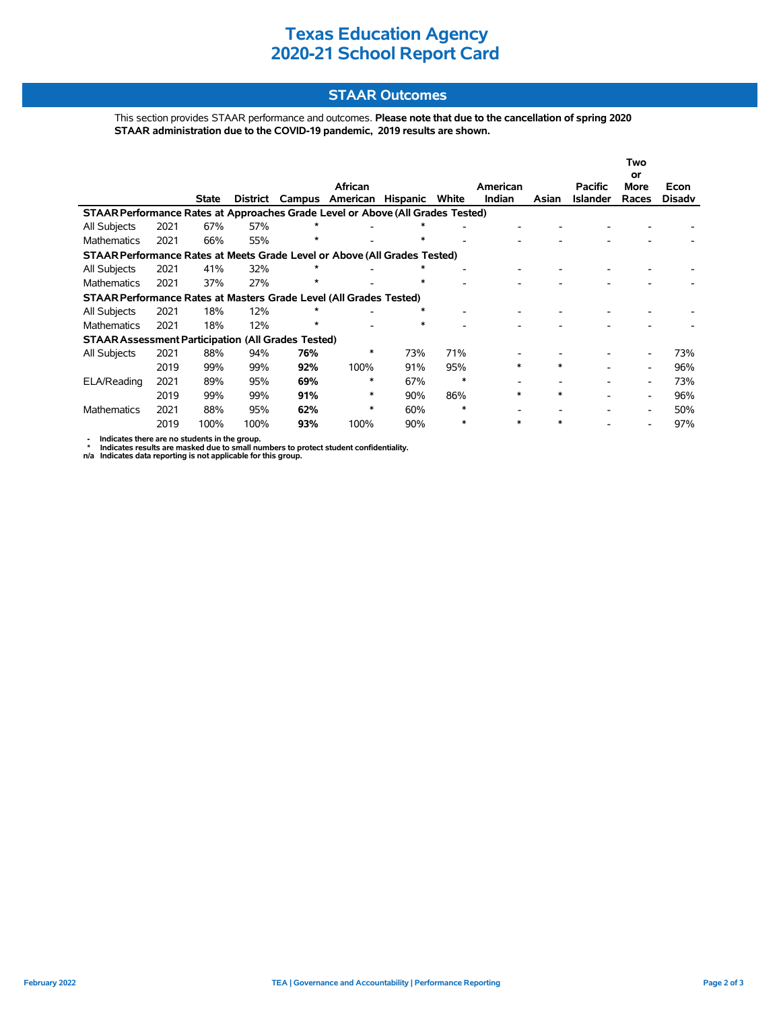## **Texas Education Agency 2020-21 School Report Card**

#### **STAAR Outcomes**

This section provides STAAR performance and outcomes. **Please note that due to the cancellation of spring 2020 STAAR administration due to the COVID-19 pandemic, 2019 results are shown.**

|                                                                                |                                                                    |              |          |         |                 |                 |                          |          |        |                 | Two                      |               |  |
|--------------------------------------------------------------------------------|--------------------------------------------------------------------|--------------|----------|---------|-----------------|-----------------|--------------------------|----------|--------|-----------------|--------------------------|---------------|--|
|                                                                                |                                                                    |              |          |         | African         |                 |                          | American |        | <b>Pacific</b>  | or<br>More               | Econ          |  |
|                                                                                |                                                                    | <b>State</b> | District |         | Campus American | <b>Hispanic</b> | White                    | Indian   | Asian  | <b>Islander</b> | Races                    | <b>Disady</b> |  |
| STAAR Performance Rates at Approaches Grade Level or Above (All Grades Tested) |                                                                    |              |          |         |                 |                 |                          |          |        |                 |                          |               |  |
| All Subjects                                                                   | 2021                                                               | 67%          | 57%      | *       |                 | ∗               |                          |          |        |                 |                          |               |  |
| Mathematics                                                                    | 2021                                                               | 66%          | 55%      | $\star$ |                 | *               |                          |          |        |                 |                          |               |  |
| STAAR Performance Rates at Meets Grade Level or Above (All Grades Tested)      |                                                                    |              |          |         |                 |                 |                          |          |        |                 |                          |               |  |
| All Subjects                                                                   | 2021                                                               | 41%          | 32%      | $\star$ |                 | *               |                          |          |        |                 |                          |               |  |
| <b>Mathematics</b>                                                             | 2021                                                               | 37%          | 27%      | *       |                 | *               | $\overline{\phantom{a}}$ |          |        |                 |                          |               |  |
|                                                                                | STAAR Performance Rates at Masters Grade Level (All Grades Tested) |              |          |         |                 |                 |                          |          |        |                 |                          |               |  |
| All Subjects                                                                   | 2021                                                               | 18%          | 12%      | *       |                 | ∗               |                          |          |        |                 |                          |               |  |
| Mathematics                                                                    | 2021                                                               | 18%          | 12%      | $\star$ |                 | $\ast$          |                          |          |        |                 |                          |               |  |
| <b>STAAR Assessment Participation (All Grades Tested)</b>                      |                                                                    |              |          |         |                 |                 |                          |          |        |                 |                          |               |  |
| All Subjects                                                                   | 2021                                                               | 88%          | 94%      | 76%     | *               | 73%             | 71%                      |          |        |                 |                          | 73%           |  |
|                                                                                | 2019                                                               | 99%          | 99%      | 92%     | 100%            | 91%             | 95%                      | *        | $\ast$ |                 |                          | 96%           |  |
| ELA/Reading                                                                    | 2021                                                               | 89%          | 95%      | 69%     | *               | 67%             | $\ast$                   |          |        |                 | $\overline{\phantom{a}}$ | 73%           |  |
|                                                                                | 2019                                                               | 99%          | 99%      | 91%     | $\ast$          | 90%             | 86%                      | $\ast$   | $\ast$ |                 | $\overline{\phantom{a}}$ | 96%           |  |
| Mathematics                                                                    | 2021                                                               | 88%          | 95%      | 62%     | *               | 60%             | $\ast$                   |          |        |                 |                          | 50%           |  |
|                                                                                | 2019                                                               | 100%         | 100%     | 93%     | 100%            | 90%             | $\ast$                   | *        | ∗      |                 |                          | 97%           |  |

- Indicates there are no students in the group.<br>\* Indicates results are masked due to small numbers to protect student confidentiality.<br>n/a Indicates data reporting is not applicable for this group.